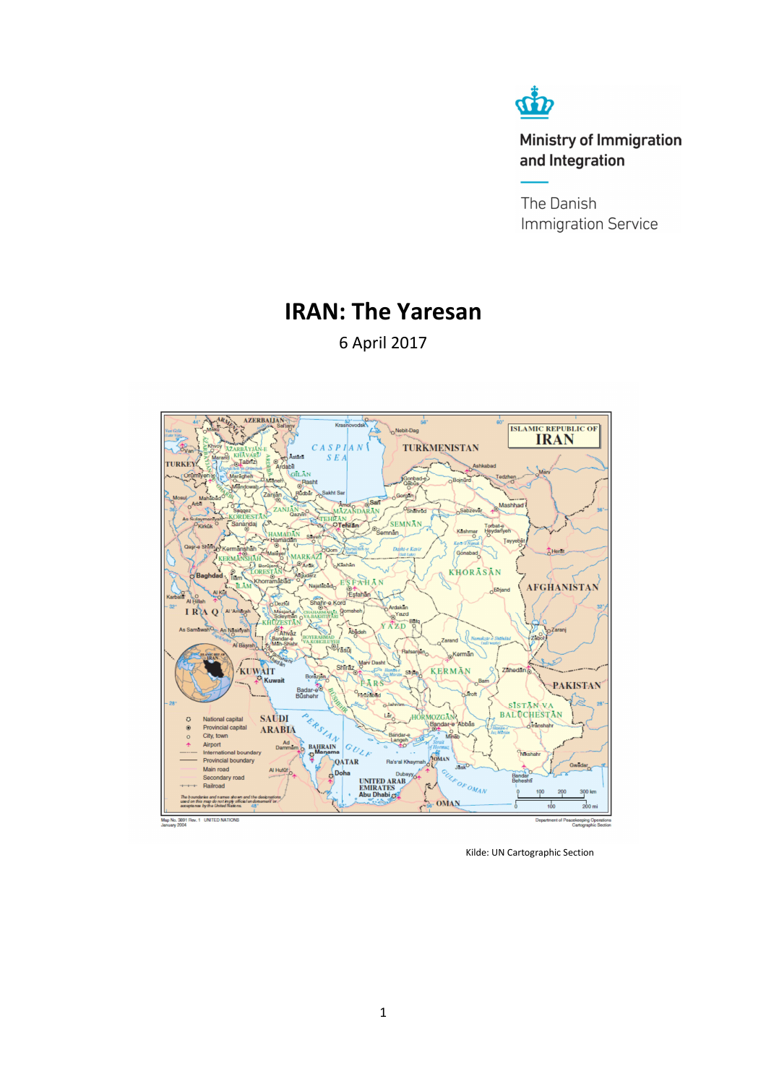

**Ministry of Immigration** and Integration

The Danish **Immigration Service** 

# **IRAN: The Yaresan**

6 April 2017



Kilde: UN Cartographic Section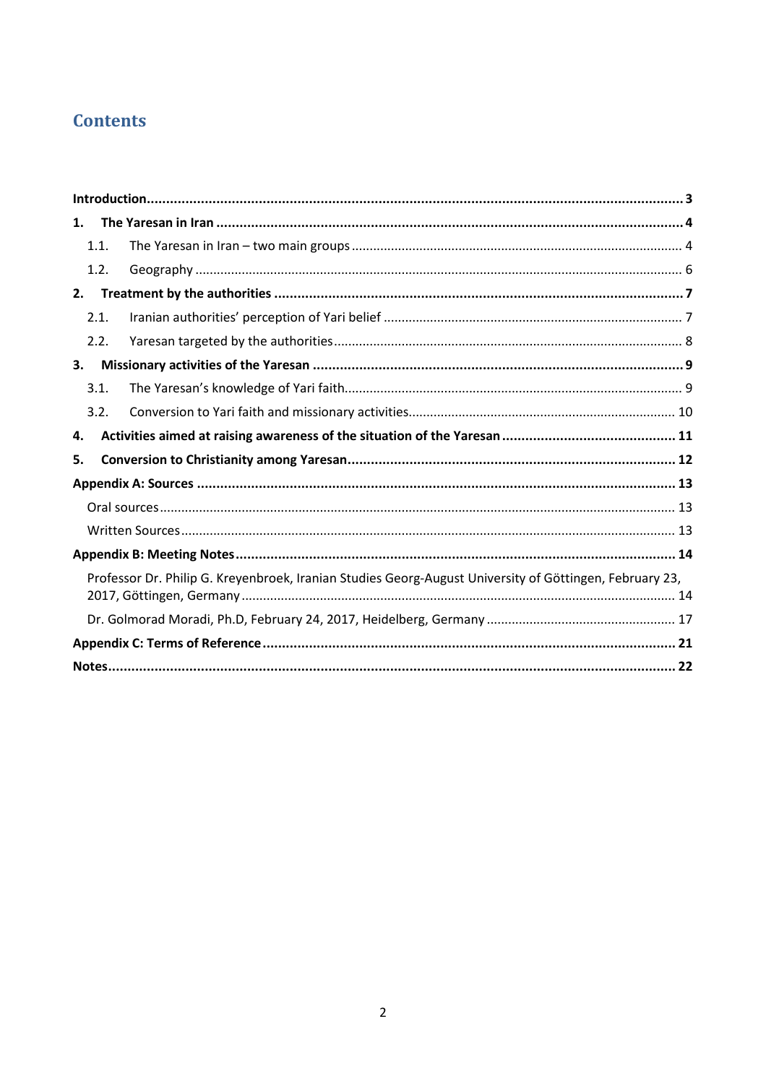# **Contents**

| 1.   |                                                                                                         |  |
|------|---------------------------------------------------------------------------------------------------------|--|
| 1.1. |                                                                                                         |  |
| 1.2. |                                                                                                         |  |
| 2.   |                                                                                                         |  |
| 2.1. |                                                                                                         |  |
| 2.2. |                                                                                                         |  |
| 3.   |                                                                                                         |  |
| 3.1. |                                                                                                         |  |
| 3.2. |                                                                                                         |  |
| 4.   |                                                                                                         |  |
| 5.   |                                                                                                         |  |
|      |                                                                                                         |  |
|      |                                                                                                         |  |
|      |                                                                                                         |  |
|      |                                                                                                         |  |
|      | Professor Dr. Philip G. Kreyenbroek, Iranian Studies Georg-August University of Göttingen, February 23, |  |
|      |                                                                                                         |  |
|      |                                                                                                         |  |
|      |                                                                                                         |  |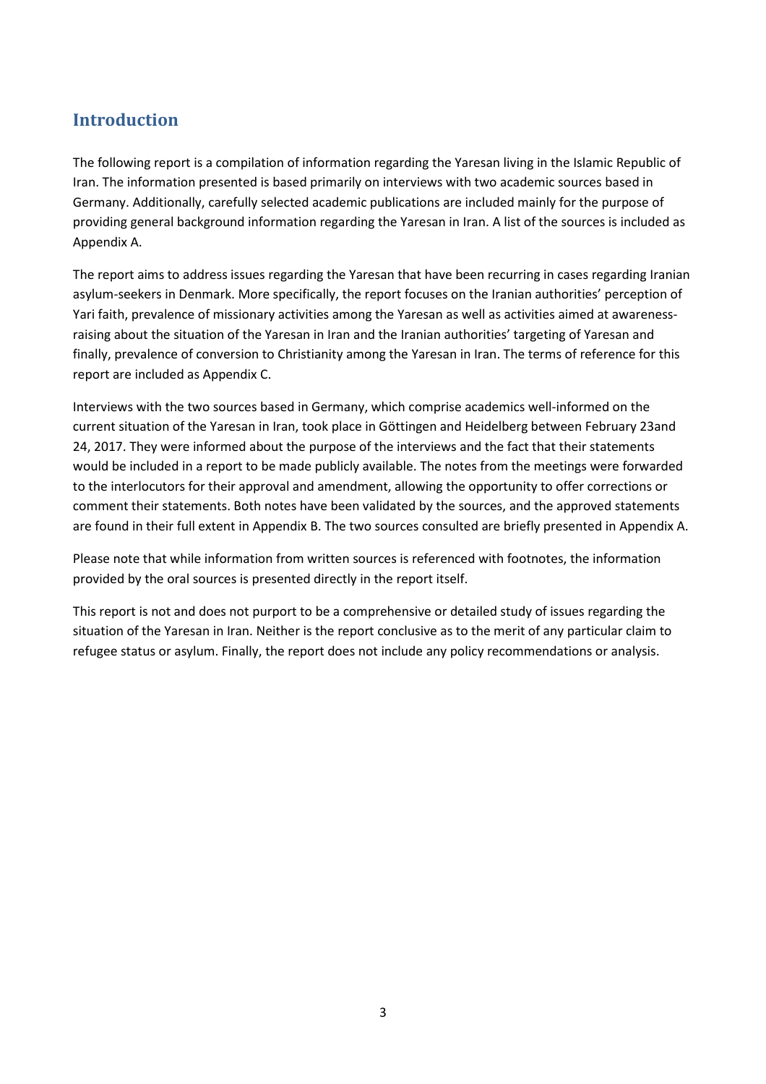## **Introduction**

The following report is a compilation of information regarding the Yaresan living in the Islamic Republic of Iran. The information presented is based primarily on interviews with two academic sources based in Germany. Additionally, carefully selected academic publications are included mainly for the purpose of providing general background information regarding the Yaresan in Iran. A list of the sources is included as Appendix A.

The report aims to address issues regarding the Yaresan that have been recurring in cases regarding Iranian asylum-seekers in Denmark. More specifically, the report focuses on the Iranian authorities' perception of Yari faith, prevalence of missionary activities among the Yaresan as well as activities aimed at awarenessraising about the situation of the Yaresan in Iran and the Iranian authorities' targeting of Yaresan and finally, prevalence of conversion to Christianity among the Yaresan in Iran. The terms of reference for this report are included as Appendix C.

Interviews with the two sources based in Germany, which comprise academics well-informed on the current situation of the Yaresan in Iran, took place in Göttingen and Heidelberg between February 23and 24, 2017. They were informed about the purpose of the interviews and the fact that their statements would be included in a report to be made publicly available. The notes from the meetings were forwarded to the interlocutors for their approval and amendment, allowing the opportunity to offer corrections or comment their statements. Both notes have been validated by the sources, and the approved statements are found in their full extent in Appendix B. The two sources consulted are briefly presented in Appendix A.

Please note that while information from written sources is referenced with footnotes, the information provided by the oral sources is presented directly in the report itself.

This report is not and does not purport to be a comprehensive or detailed study of issues regarding the situation of the Yaresan in Iran. Neither is the report conclusive as to the merit of any particular claim to refugee status or asylum. Finally, the report does not include any policy recommendations or analysis.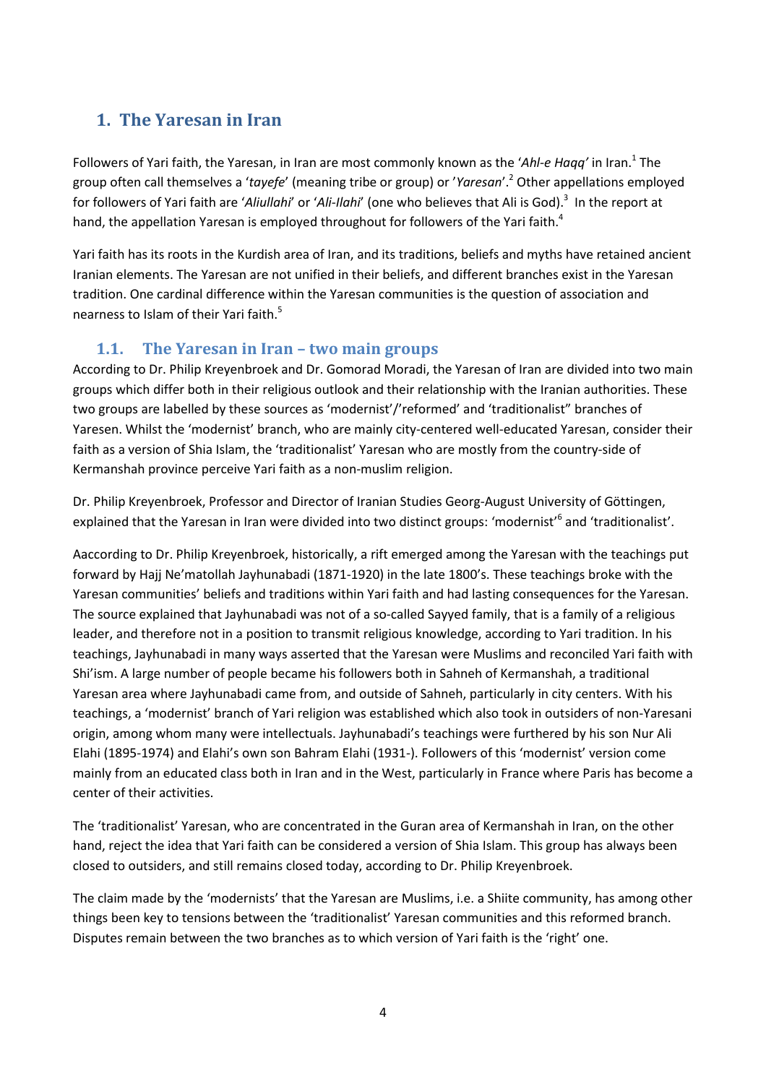# **1. The Yaresan in Iran**

Followers of Yari faith, the Yaresan, in Iran are most commonly known as the 'Ahl-e Haqq' in Iran.<sup>1</sup> The group often call themselves a '*tayefe*' (meaning tribe or group) or '*Yaresan*'.<sup>2</sup> Other appellations employed for followers of Yari faith are '*Aliullahi'* or '*Ali-Ilahi'* (one who believes that Ali is God).<sup>3</sup> In the report at hand, the appellation Yaresan is employed throughout for followers of the Yari faith.<sup>4</sup>

Yari faith has its roots in the Kurdish area of Iran, and its traditions, beliefs and myths have retained ancient Iranian elements. The Yaresan are not unified in their beliefs, and different branches exist in the Yaresan tradition. One cardinal difference within the Yaresan communities is the question of association and nearness to Islam of their Yari faith.<sup>5</sup>

### **1.1. The Yaresan in Iran – two main groups**

According to Dr. Philip Kreyenbroek and Dr. Gomorad Moradi, the Yaresan of Iran are divided into two main groups which differ both in their religious outlook and their relationship with the Iranian authorities. These two groups are labelled by these sources as 'modernist'/'reformed' and 'traditionalist" branches of Yaresen. Whilst the 'modernist' branch, who are mainly city-centered well-educated Yaresan, consider their faith as a version of Shia Islam, the 'traditionalist' Yaresan who are mostly from the country-side of Kermanshah province perceive Yari faith as a non-muslim religion.

Dr. Philip Kreyenbroek, Professor and Director of Iranian Studies Georg-August University of Göttingen, explained that the Yaresan in Iran were divided into two distinct groups: 'modernist'<sup>6</sup> and 'traditionalist'.

Aaccording to Dr. Philip Kreyenbroek, historically, a rift emerged among the Yaresan with the teachings put forward by Hajj Ne'matollah Jayhunabadi (1871-1920) in the late 1800's. These teachings broke with the Yaresan communities' beliefs and traditions within Yari faith and had lasting consequences for the Yaresan. The source explained that Jayhunabadi was not of a so-called Sayyed family, that is a family of a religious leader, and therefore not in a position to transmit religious knowledge, according to Yari tradition. In his teachings, Jayhunabadi in many ways asserted that the Yaresan were Muslims and reconciled Yari faith with Shi'ism. A large number of people became his followers both in Sahneh of Kermanshah, a traditional Yaresan area where Jayhunabadi came from, and outside of Sahneh, particularly in city centers. With his teachings, a 'modernist' branch of Yari religion was established which also took in outsiders of non-Yaresani origin, among whom many were intellectuals. Jayhunabadi's teachings were furthered by his son Nur Ali Elahi (1895-1974) and Elahi's own son Bahram Elahi (1931-). Followers of this 'modernist' version come mainly from an educated class both in Iran and in the West, particularly in France where Paris has become a center of their activities.

The 'traditionalist' Yaresan, who are concentrated in the Guran area of Kermanshah in Iran, on the other hand, reject the idea that Yari faith can be considered a version of Shia Islam. This group has always been closed to outsiders, and still remains closed today, according to Dr. Philip Kreyenbroek.

The claim made by the 'modernists' that the Yaresan are Muslims, i.e. a Shiite community, has among other things been key to tensions between the 'traditionalist' Yaresan communities and this reformed branch. Disputes remain between the two branches as to which version of Yari faith is the 'right' one.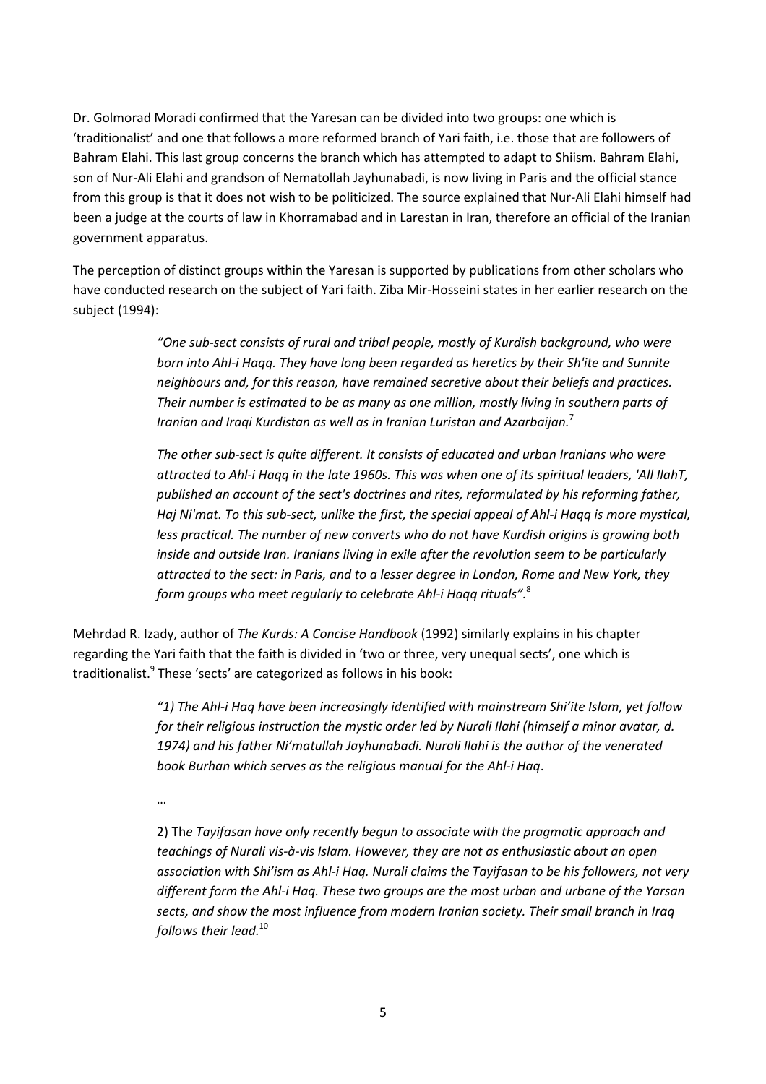Dr. Golmorad Moradi confirmed that the Yaresan can be divided into two groups: one which is 'traditionalist' and one that follows a more reformed branch of Yari faith, i.e. those that are followers of Bahram Elahi. This last group concerns the branch which has attempted to adapt to Shiism. Bahram Elahi, son of Nur-Ali Elahi and grandson of Nematollah Jayhunabadi, is now living in Paris and the official stance from this group is that it does not wish to be politicized. The source explained that Nur-Ali Elahi himself had been a judge at the courts of law in Khorramabad and in Larestan in Iran, therefore an official of the Iranian government apparatus.

The perception of distinct groups within the Yaresan is supported by publications from other scholars who have conducted research on the subject of Yari faith. Ziba Mir-Hosseini states in her earlier research on the subject (1994):

> *"One sub-sect consists of rural and tribal people, mostly of Kurdish background, who were born into Ahl-i Haqq. They have long been regarded as heretics by their Sh'ite and Sunnite neighbours and, for this reason, have remained secretive about their beliefs and practices. Their number is estimated to be as many as one million, mostly living in southern parts of Iranian and Iraqi Kurdistan as well as in Iranian Luristan and Azarbaijan.*<sup>7</sup>

*The other sub-sect is quite different. It consists of educated and urban Iranians who were attracted to Ahl-i Haqq in the late 1960s. This was when one of its spiritual leaders, 'All IlahT, published an account of the sect's doctrines and rites, reformulated by his reforming father, Haj Ni'mat. To this sub-sect, unlike the first, the special appeal of Ahl-i Haqq is more mystical, less practical. The number of new converts who do not have Kurdish origins is growing both inside and outside Iran. Iranians living in exile after the revolution seem to be particularly attracted to the sect: in Paris, and to a lesser degree in London, Rome and New York, they form groups who meet regularly to celebrate Ahl-i Haqq rituals".*<sup>8</sup>

Mehrdad R. Izady, author of *The Kurds: A Concise Handbook* (1992) similarly explains in his chapter regarding the Yari faith that the faith is divided in 'two or three, very unequal sects', one which is traditionalist.<sup>9</sup> These 'sects' are categorized as follows in his book:

> *"1) The Ahl-i Haq have been increasingly identified with mainstream Shi'ite Islam, yet follow for their religious instruction the mystic order led by Nurali Ilahi (himself a minor avatar, d. 1974) and his father Ni'matullah Jayhunabadi. Nurali Ilahi is the author of the venerated book Burhan which serves as the religious manual for the Ahl-i Haq*.

…

2) Th*e Tayifasan have only recently begun to associate with the pragmatic approach and teachings of Nurali vis-à-vis Islam. However, they are not as enthusiastic about an open association with Shi'ism as Ahl-i Haq. Nurali claims the Tayifasan to be his followers, not very different form the Ahl-i Haq. These two groups are the most urban and urbane of the Yarsan sects, and show the most influence from modern Iranian society. Their small branch in Iraq follows their lead.*<sup>10</sup>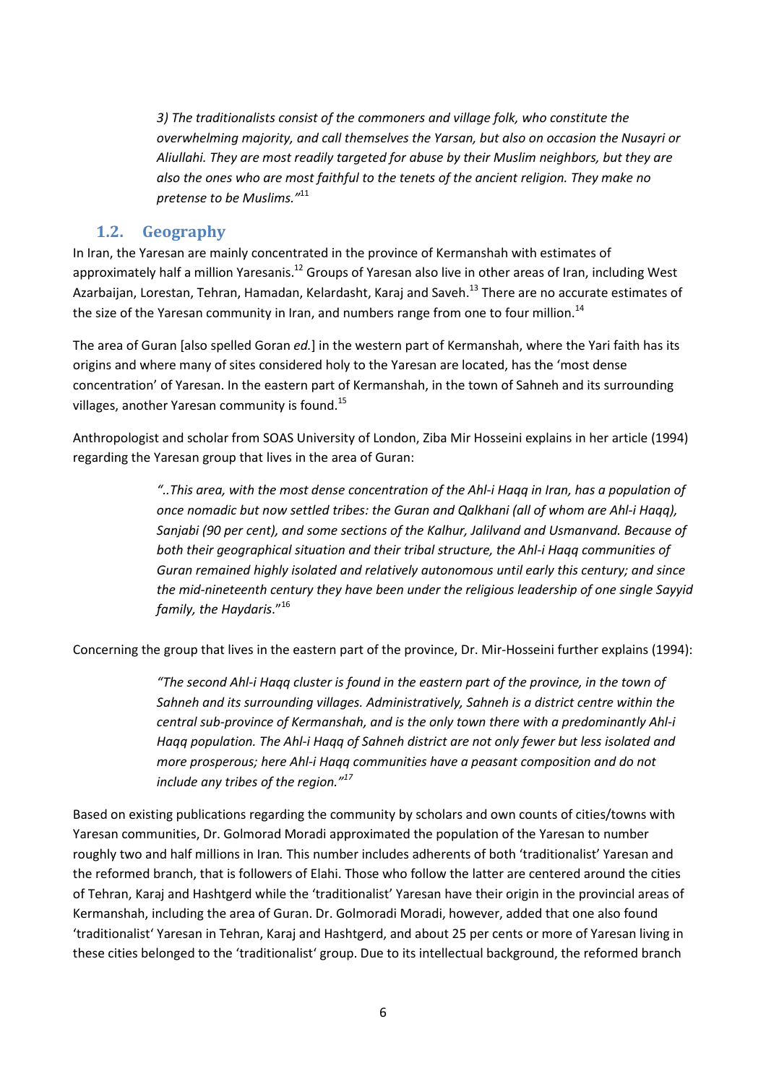*3) The traditionalists consist of the commoners and village folk, who constitute the overwhelming majority, and call themselves the Yarsan, but also on occasion the Nusayri or Aliullahi. They are most readily targeted for abuse by their Muslim neighbors, but they are also the ones who are most faithful to the tenets of the ancient religion. They make no pretense to be Muslims."*<sup>11</sup>

### **1.2. Geography**

In Iran, the Yaresan are mainly concentrated in the province of Kermanshah with estimates of approximately half a million Yaresanis.<sup>12</sup> Groups of Yaresan also live in other areas of Iran, including West Azarbaijan, Lorestan, Tehran, Hamadan, Kelardasht, Karaj and Saveh.<sup>13</sup> There are no accurate estimates of the size of the Yaresan community in Iran, and numbers range from one to four million.<sup>14</sup>

The area of Guran [also spelled Goran *ed.*] in the western part of Kermanshah, where the Yari faith has its origins and where many of sites considered holy to the Yaresan are located, has the 'most dense concentration' of Yaresan. In the eastern part of Kermanshah, in the town of Sahneh and its surrounding villages, another Yaresan community is found.<sup>15</sup>

Anthropologist and scholar from SOAS University of London, Ziba Mir Hosseini explains in her article (1994) regarding the Yaresan group that lives in the area of Guran:

> *"..This area, with the most dense concentration of the Ahl-i Haqq in Iran, has a population of once nomadic but now settled tribes: the Guran and Qalkhani (all of whom are Ahl-i Haqq), Sanjabi (90 per cent), and some sections of the Kalhur, Jalilvand and Usmanvand. Because of both their geographical situation and their tribal structure, the Ahl-i Haqq communities of Guran remained highly isolated and relatively autonomous until early this century; and since the mid-nineteenth century they have been under the religious leadership of one single Sayyid family, the Haydaris*."<sup>16</sup>

Concerning the group that lives in the eastern part of the province, Dr. Mir-Hosseini further explains (1994):

*"The second Ahl-i Haqq cluster is found in the eastern part of the province, in the town of Sahneh and its surrounding villages. Administratively, Sahneh is a district centre within the central sub-province of Kermanshah, and is the only town there with a predominantly Ahl-i Haqq population. The Ahl-i Haqq of Sahneh district are not only fewer but less isolated and more prosperous; here Ahl-i Haqq communities have a peasant composition and do not include any tribes of the region."<sup>17</sup>*

Based on existing publications regarding the community by scholars and own counts of cities/towns with Yaresan communities, Dr. Golmorad Moradi approximated the population of the Yaresan to number roughly two and half millions in Iran*.* This number includes adherents of both 'traditionalist' Yaresan and the reformed branch, that is followers of Elahi. Those who follow the latter are centered around the cities of Tehran, Karaj and Hashtgerd while the 'traditionalist' Yaresan have their origin in the provincial areas of Kermanshah, including the area of Guran. Dr. Golmoradi Moradi, however, added that one also found 'traditionalist' Yaresan in Tehran, Karaj and Hashtgerd, and about 25 per cents or more of Yaresan living in these cities belonged to the 'traditionalist' group. Due to its intellectual background, the reformed branch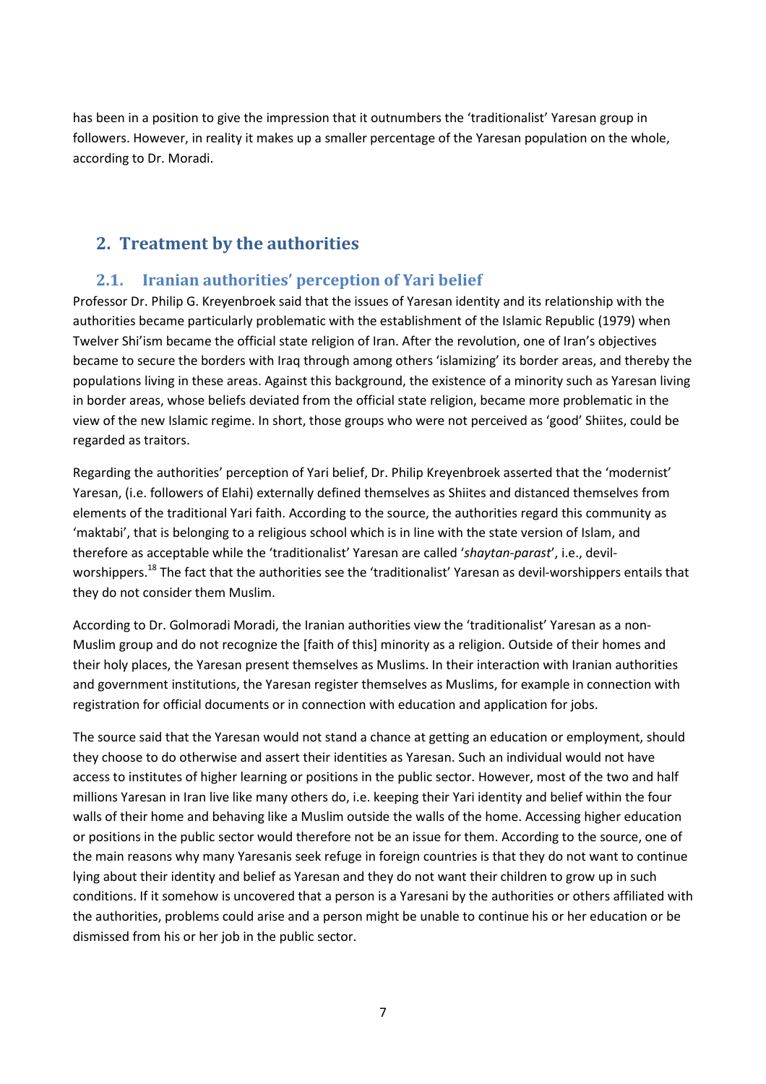has been in a position to give the impression that it outnumbers the 'traditionalist' Yaresan group in followers. However, in reality it makes up a smaller percentage of the Yaresan population on the whole, according to Dr. Moradi.

# **2. Treatment by the authorities**

### **2.1. Iranian authorities' perception of Yari belief**

Professor Dr. Philip G. Kreyenbroek said that the issues of Yaresan identity and its relationship with the authorities became particularly problematic with the establishment of the Islamic Republic (1979) when Twelver Shi'ism became the official state religion of Iran. After the revolution, one of Iran's objectives became to secure the borders with Iraq through among others 'islamizing' its border areas, and thereby the populations living in these areas. Against this background, the existence of a minority such as Yaresan living in border areas, whose beliefs deviated from the official state religion, became more problematic in the view of the new Islamic regime. In short, those groups who were not perceived as 'good' Shiites, could be regarded as traitors.

Regarding the authorities' perception of Yari belief, Dr. Philip Kreyenbroek asserted that the 'modernist' Yaresan, (i.e. followers of Elahi) externally defined themselves as Shiites and distanced themselves from elements of the traditional Yari faith. According to the source, the authorities regard this community as 'maktabi', that is belonging to a religious school which is in line with the state version of Islam, and therefore as acceptable while the 'traditionalist' Yaresan are called '*shaytan-parast*', i.e., devilworshippers.<sup>18</sup> The fact that the authorities see the 'traditionalist' Yaresan as devil-worshippers entails that they do not consider them Muslim.

According to Dr. Golmoradi Moradi, the Iranian authorities view the 'traditionalist' Yaresan as a non-Muslim group and do not recognize the [faith of this] minority as a religion. Outside of their homes and their holy places, the Yaresan present themselves as Muslims. In their interaction with Iranian authorities and government institutions, the Yaresan register themselves as Muslims, for example in connection with registration for official documents or in connection with education and application for jobs.

The source said that the Yaresan would not stand a chance at getting an education or employment, should they choose to do otherwise and assert their identities as Yaresan. Such an individual would not have access to institutes of higher learning or positions in the public sector. However, most of the two and half millions Yaresan in Iran live like many others do, i.e. keeping their Yari identity and belief within the four walls of their home and behaving like a Muslim outside the walls of the home. Accessing higher education or positions in the public sector would therefore not be an issue for them. According to the source, one of the main reasons why many Yaresanis seek refuge in foreign countries is that they do not want to continue lying about their identity and belief as Yaresan and they do not want their children to grow up in such conditions. If it somehow is uncovered that a person is a Yaresani by the authorities or others affiliated with the authorities, problems could arise and a person might be unable to continue his or her education or be dismissed from his or her job in the public sector.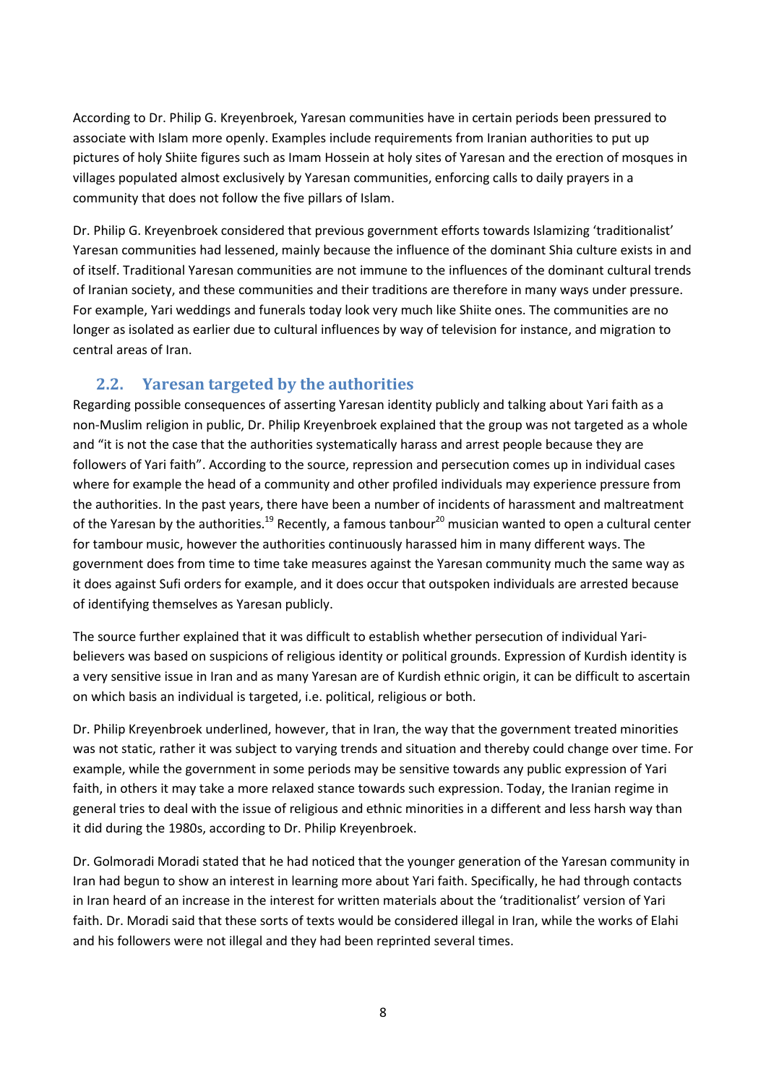According to Dr. Philip G. Kreyenbroek, Yaresan communities have in certain periods been pressured to associate with Islam more openly. Examples include requirements from Iranian authorities to put up pictures of holy Shiite figures such as Imam Hossein at holy sites of Yaresan and the erection of mosques in villages populated almost exclusively by Yaresan communities, enforcing calls to daily prayers in a community that does not follow the five pillars of Islam.

Dr. Philip G. Kreyenbroek considered that previous government efforts towards Islamizing 'traditionalist' Yaresan communities had lessened, mainly because the influence of the dominant Shia culture exists in and of itself. Traditional Yaresan communities are not immune to the influences of the dominant cultural trends of Iranian society, and these communities and their traditions are therefore in many ways under pressure. For example, Yari weddings and funerals today look very much like Shiite ones. The communities are no longer as isolated as earlier due to cultural influences by way of television for instance, and migration to central areas of Iran.

### **2.2. Yaresan targeted by the authorities**

Regarding possible consequences of asserting Yaresan identity publicly and talking about Yari faith as a non-Muslim religion in public, Dr. Philip Kreyenbroek explained that the group was not targeted as a whole and "it is not the case that the authorities systematically harass and arrest people because they are followers of Yari faith". According to the source, repression and persecution comes up in individual cases where for example the head of a community and other profiled individuals may experience pressure from the authorities. In the past years, there have been a number of incidents of harassment and maltreatment of the Yaresan by the authorities.<sup>19</sup> Recently, a famous tanbour<sup>20</sup> musician wanted to open a cultural center for tambour music, however the authorities continuously harassed him in many different ways. The government does from time to time take measures against the Yaresan community much the same way as it does against Sufi orders for example, and it does occur that outspoken individuals are arrested because of identifying themselves as Yaresan publicly.

The source further explained that it was difficult to establish whether persecution of individual Yaribelievers was based on suspicions of religious identity or political grounds. Expression of Kurdish identity is a very sensitive issue in Iran and as many Yaresan are of Kurdish ethnic origin, it can be difficult to ascertain on which basis an individual is targeted, i.e. political, religious or both.

Dr. Philip Kreyenbroek underlined, however, that in Iran, the way that the government treated minorities was not static, rather it was subject to varying trends and situation and thereby could change over time. For example, while the government in some periods may be sensitive towards any public expression of Yari faith, in others it may take a more relaxed stance towards such expression. Today, the Iranian regime in general tries to deal with the issue of religious and ethnic minorities in a different and less harsh way than it did during the 1980s, according to Dr. Philip Kreyenbroek.

Dr. Golmoradi Moradi stated that he had noticed that the younger generation of the Yaresan community in Iran had begun to show an interest in learning more about Yari faith. Specifically, he had through contacts in Iran heard of an increase in the interest for written materials about the 'traditionalist' version of Yari faith. Dr. Moradi said that these sorts of texts would be considered illegal in Iran, while the works of Elahi and his followers were not illegal and they had been reprinted several times.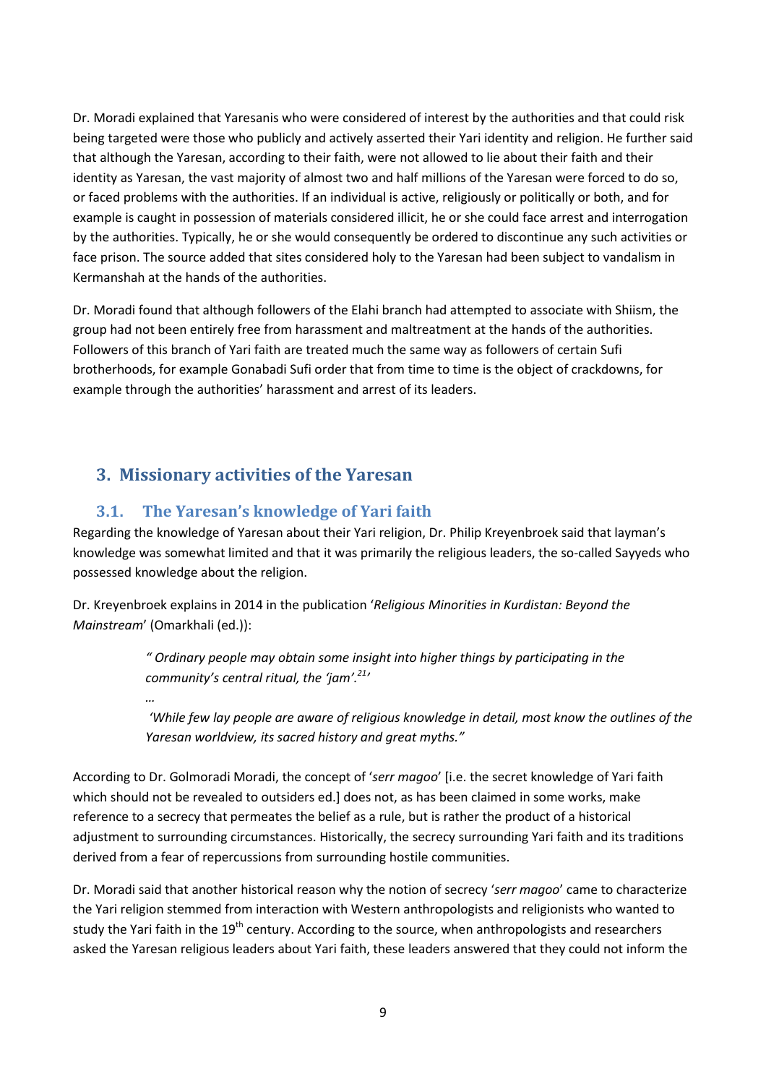Dr. Moradi explained that Yaresanis who were considered of interest by the authorities and that could risk being targeted were those who publicly and actively asserted their Yari identity and religion. He further said that although the Yaresan, according to their faith, were not allowed to lie about their faith and their identity as Yaresan, the vast majority of almost two and half millions of the Yaresan were forced to do so, or faced problems with the authorities. If an individual is active, religiously or politically or both, and for example is caught in possession of materials considered illicit, he or she could face arrest and interrogation by the authorities. Typically, he or she would consequently be ordered to discontinue any such activities or face prison. The source added that sites considered holy to the Yaresan had been subject to vandalism in Kermanshah at the hands of the authorities.

Dr. Moradi found that although followers of the Elahi branch had attempted to associate with Shiism, the group had not been entirely free from harassment and maltreatment at the hands of the authorities. Followers of this branch of Yari faith are treated much the same way as followers of certain Sufi brotherhoods, for example Gonabadi Sufi order that from time to time is the object of crackdowns, for example through the authorities' harassment and arrest of its leaders.

# **3. Missionary activities of the Yaresan**

*…*

### **3.1. The Yaresan's knowledge of Yari faith**

Regarding the knowledge of Yaresan about their Yari religion, Dr. Philip Kreyenbroek said that layman's knowledge was somewhat limited and that it was primarily the religious leaders, the so-called Sayyeds who possessed knowledge about the religion.

Dr. Kreyenbroek explains in 2014 in the publication '*Religious Minorities in Kurdistan: Beyond the Mainstream*' (Omarkhali (ed.)):

> *" Ordinary people may obtain some insight into higher things by participating in the community's central ritual, the 'jam'.<sup>21</sup>'*

 *'While few lay people are aware of religious knowledge in detail, most know the outlines of the Yaresan worldview, its sacred history and great myths."* 

According to Dr. Golmoradi Moradi, the concept of '*serr magoo*' [i.e. the secret knowledge of Yari faith which should not be revealed to outsiders ed.] does not, as has been claimed in some works, make reference to a secrecy that permeates the belief as a rule, but is rather the product of a historical adjustment to surrounding circumstances. Historically, the secrecy surrounding Yari faith and its traditions derived from a fear of repercussions from surrounding hostile communities.

Dr. Moradi said that another historical reason why the notion of secrecy '*serr magoo*' came to characterize the Yari religion stemmed from interaction with Western anthropologists and religionists who wanted to study the Yari faith in the 19<sup>th</sup> century. According to the source, when anthropologists and researchers asked the Yaresan religious leaders about Yari faith, these leaders answered that they could not inform the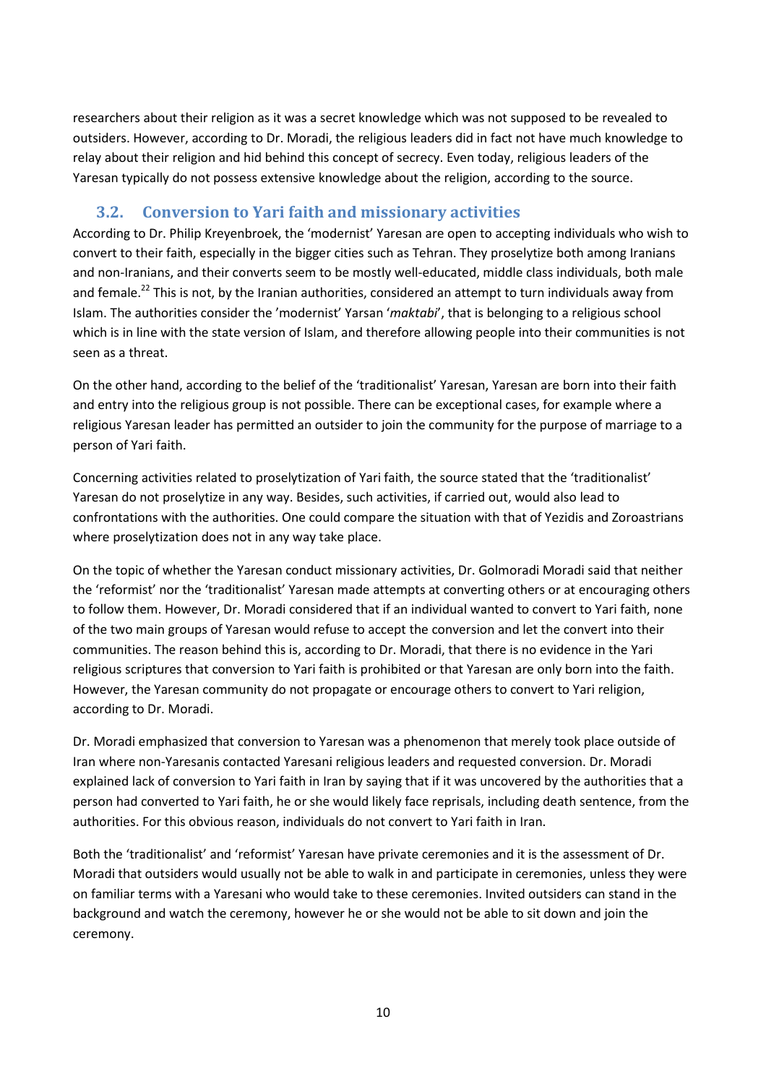researchers about their religion as it was a secret knowledge which was not supposed to be revealed to outsiders. However, according to Dr. Moradi, the religious leaders did in fact not have much knowledge to relay about their religion and hid behind this concept of secrecy. Even today, religious leaders of the Yaresan typically do not possess extensive knowledge about the religion, according to the source.

### **3.2. Conversion to Yari faith and missionary activities**

According to Dr. Philip Kreyenbroek, the 'modernist' Yaresan are open to accepting individuals who wish to convert to their faith, especially in the bigger cities such as Tehran. They proselytize both among Iranians and non-Iranians, and their converts seem to be mostly well-educated, middle class individuals, both male and female.<sup>22</sup> This is not, by the Iranian authorities, considered an attempt to turn individuals away from Islam. The authorities consider the 'modernist' Yarsan '*maktabi*', that is belonging to a religious school which is in line with the state version of Islam, and therefore allowing people into their communities is not seen as a threat.

On the other hand, according to the belief of the 'traditionalist' Yaresan, Yaresan are born into their faith and entry into the religious group is not possible. There can be exceptional cases, for example where a religious Yaresan leader has permitted an outsider to join the community for the purpose of marriage to a person of Yari faith.

Concerning activities related to proselytization of Yari faith, the source stated that the 'traditionalist' Yaresan do not proselytize in any way. Besides, such activities, if carried out, would also lead to confrontations with the authorities. One could compare the situation with that of Yezidis and Zoroastrians where proselytization does not in any way take place.

On the topic of whether the Yaresan conduct missionary activities, Dr. Golmoradi Moradi said that neither the 'reformist' nor the 'traditionalist' Yaresan made attempts at converting others or at encouraging others to follow them. However, Dr. Moradi considered that if an individual wanted to convert to Yari faith, none of the two main groups of Yaresan would refuse to accept the conversion and let the convert into their communities. The reason behind this is, according to Dr. Moradi, that there is no evidence in the Yari religious scriptures that conversion to Yari faith is prohibited or that Yaresan are only born into the faith. However, the Yaresan community do not propagate or encourage others to convert to Yari religion, according to Dr. Moradi.

Dr. Moradi emphasized that conversion to Yaresan was a phenomenon that merely took place outside of Iran where non-Yaresanis contacted Yaresani religious leaders and requested conversion. Dr. Moradi explained lack of conversion to Yari faith in Iran by saying that if it was uncovered by the authorities that a person had converted to Yari faith, he or she would likely face reprisals, including death sentence, from the authorities. For this obvious reason, individuals do not convert to Yari faith in Iran.

Both the 'traditionalist' and 'reformist' Yaresan have private ceremonies and it is the assessment of Dr. Moradi that outsiders would usually not be able to walk in and participate in ceremonies, unless they were on familiar terms with a Yaresani who would take to these ceremonies. Invited outsiders can stand in the background and watch the ceremony, however he or she would not be able to sit down and join the ceremony.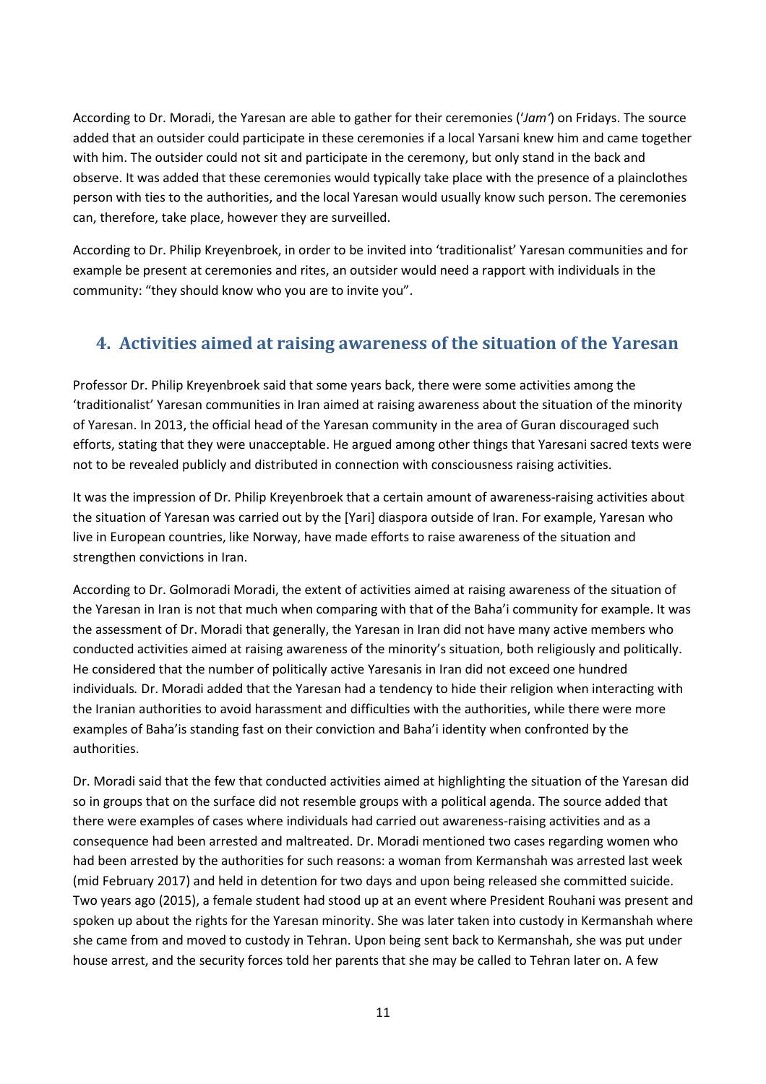According to Dr. Moradi, the Yaresan are able to gather for their ceremonies ('*Jam'*) on Fridays. The source added that an outsider could participate in these ceremonies if a local Yarsani knew him and came together with him. The outsider could not sit and participate in the ceremony, but only stand in the back and observe. It was added that these ceremonies would typically take place with the presence of a plainclothes person with ties to the authorities, and the local Yaresan would usually know such person. The ceremonies can, therefore, take place, however they are surveilled.

According to Dr. Philip Kreyenbroek, in order to be invited into 'traditionalist' Yaresan communities and for example be present at ceremonies and rites, an outsider would need a rapport with individuals in the community: "they should know who you are to invite you".

# **4. Activities aimed at raising awareness of the situation of the Yaresan**

Professor Dr. Philip Kreyenbroek said that some years back, there were some activities among the 'traditionalist' Yaresan communities in Iran aimed at raising awareness about the situation of the minority of Yaresan. In 2013, the official head of the Yaresan community in the area of Guran discouraged such efforts, stating that they were unacceptable. He argued among other things that Yaresani sacred texts were not to be revealed publicly and distributed in connection with consciousness raising activities.

It was the impression of Dr. Philip Kreyenbroek that a certain amount of awareness-raising activities about the situation of Yaresan was carried out by the [Yari] diaspora outside of Iran. For example, Yaresan who live in European countries, like Norway, have made efforts to raise awareness of the situation and strengthen convictions in Iran.

According to Dr. Golmoradi Moradi, the extent of activities aimed at raising awareness of the situation of the Yaresan in Iran is not that much when comparing with that of the Baha'i community for example. It was the assessment of Dr. Moradi that generally, the Yaresan in Iran did not have many active members who conducted activities aimed at raising awareness of the minority's situation, both religiously and politically. He considered that the number of politically active Yaresanis in Iran did not exceed one hundred individuals*.* Dr. Moradi added that the Yaresan had a tendency to hide their religion when interacting with the Iranian authorities to avoid harassment and difficulties with the authorities, while there were more examples of Baha'is standing fast on their conviction and Baha'i identity when confronted by the authorities.

Dr. Moradi said that the few that conducted activities aimed at highlighting the situation of the Yaresan did so in groups that on the surface did not resemble groups with a political agenda. The source added that there were examples of cases where individuals had carried out awareness-raising activities and as a consequence had been arrested and maltreated. Dr. Moradi mentioned two cases regarding women who had been arrested by the authorities for such reasons: a woman from Kermanshah was arrested last week (mid February 2017) and held in detention for two days and upon being released she committed suicide. Two years ago (2015), a female student had stood up at an event where President Rouhani was present and spoken up about the rights for the Yaresan minority. She was later taken into custody in Kermanshah where she came from and moved to custody in Tehran. Upon being sent back to Kermanshah, she was put under house arrest, and the security forces told her parents that she may be called to Tehran later on. A few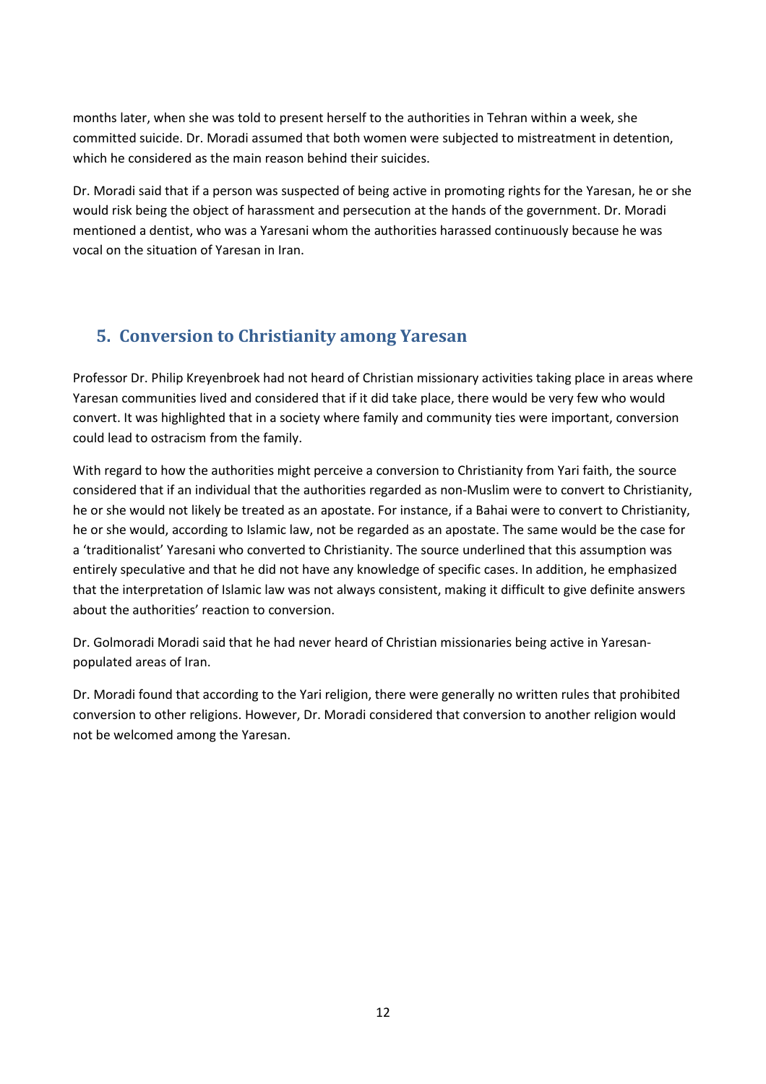months later, when she was told to present herself to the authorities in Tehran within a week, she committed suicide. Dr. Moradi assumed that both women were subjected to mistreatment in detention, which he considered as the main reason behind their suicides.

Dr. Moradi said that if a person was suspected of being active in promoting rights for the Yaresan, he or she would risk being the object of harassment and persecution at the hands of the government. Dr. Moradi mentioned a dentist, who was a Yaresani whom the authorities harassed continuously because he was vocal on the situation of Yaresan in Iran.

# **5. Conversion to Christianity among Yaresan**

Professor Dr. Philip Kreyenbroek had not heard of Christian missionary activities taking place in areas where Yaresan communities lived and considered that if it did take place, there would be very few who would convert. It was highlighted that in a society where family and community ties were important, conversion could lead to ostracism from the family.

With regard to how the authorities might perceive a conversion to Christianity from Yari faith, the source considered that if an individual that the authorities regarded as non-Muslim were to convert to Christianity, he or she would not likely be treated as an apostate. For instance, if a Bahai were to convert to Christianity, he or she would, according to Islamic law, not be regarded as an apostate. The same would be the case for a 'traditionalist' Yaresani who converted to Christianity. The source underlined that this assumption was entirely speculative and that he did not have any knowledge of specific cases. In addition, he emphasized that the interpretation of Islamic law was not always consistent, making it difficult to give definite answers about the authorities' reaction to conversion.

Dr. Golmoradi Moradi said that he had never heard of Christian missionaries being active in Yaresanpopulated areas of Iran.

Dr. Moradi found that according to the Yari religion, there were generally no written rules that prohibited conversion to other religions. However, Dr. Moradi considered that conversion to another religion would not be welcomed among the Yaresan.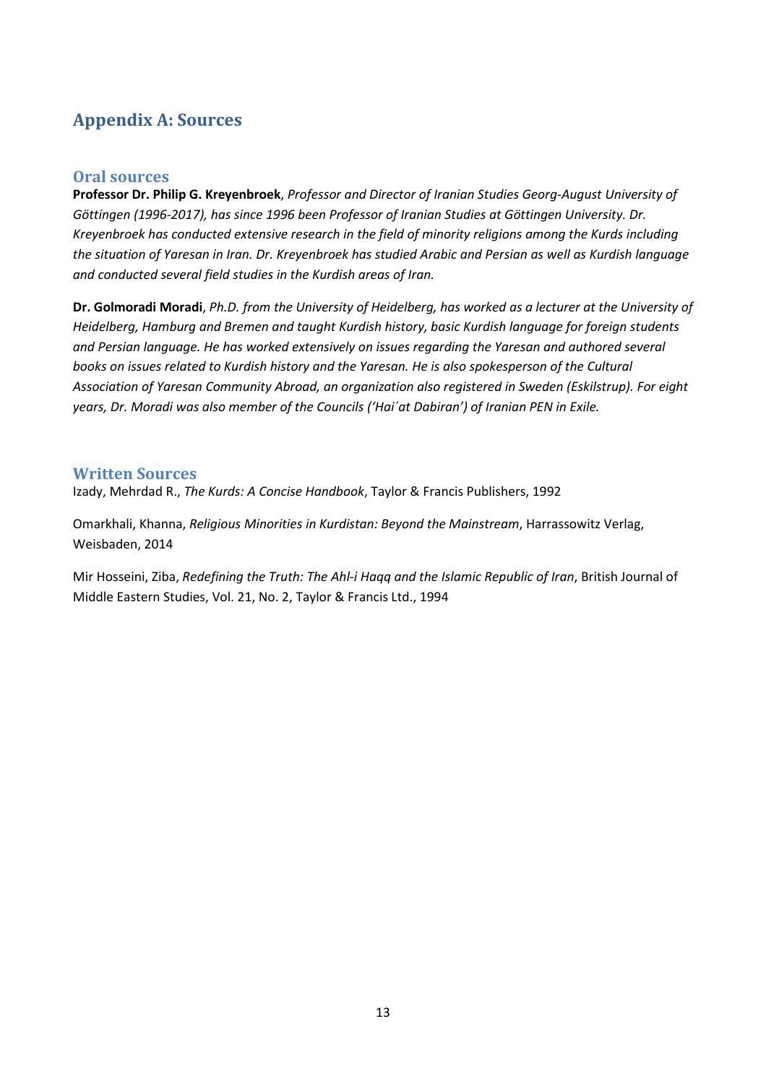# **Appendix A: Sources**

### **Oral sources**

**Professor Dr. Philip G. Kreyenbroek**, *Professor and Director of Iranian Studies Georg-August University of Göttingen (1996-2017), has since 1996 been Professor of Iranian Studies at Göttingen University. Dr. Kreyenbroek has conducted extensive research in the field of minority religions among the Kurds including the situation of Yaresan in Iran. Dr. Kreyenbroek has studied Arabic and Persian as well as Kurdish language and conducted several field studies in the Kurdish areas of Iran.* 

**Dr. Golmoradi Moradi**, *Ph.D. from the University of Heidelberg, has worked as a lecturer at the University of Heidelberg, Hamburg and Bremen and taught Kurdish history, basic Kurdish language for foreign students and Persian language. He has worked extensively on issues regarding the Yaresan and authored several books on issues related to Kurdish history and the Yaresan. He is also spokesperson of the Cultural Association of Yaresan Community Abroad, an organization also registered in Sweden (Eskilstrup). For eight years, Dr. Moradi was also member of the Councils ('Hai´at Dabiran') of Iranian PEN in Exile.* 

### **Written Sources**

Izady, Mehrdad R., *The Kurds: A Concise Handbook*, Taylor & Francis Publishers, 1992

Omarkhali, Khanna, *Religious Minorities in Kurdistan: Beyond the Mainstream*, Harrassowitz Verlag, Weisbaden, 2014

Mir Hosseini, Ziba, *Redefining the Truth: The Ahl-i Haqq and the Islamic Republic of Iran*, British Journal of Middle Eastern Studies, Vol. 21, No. 2, Taylor & Francis Ltd., 1994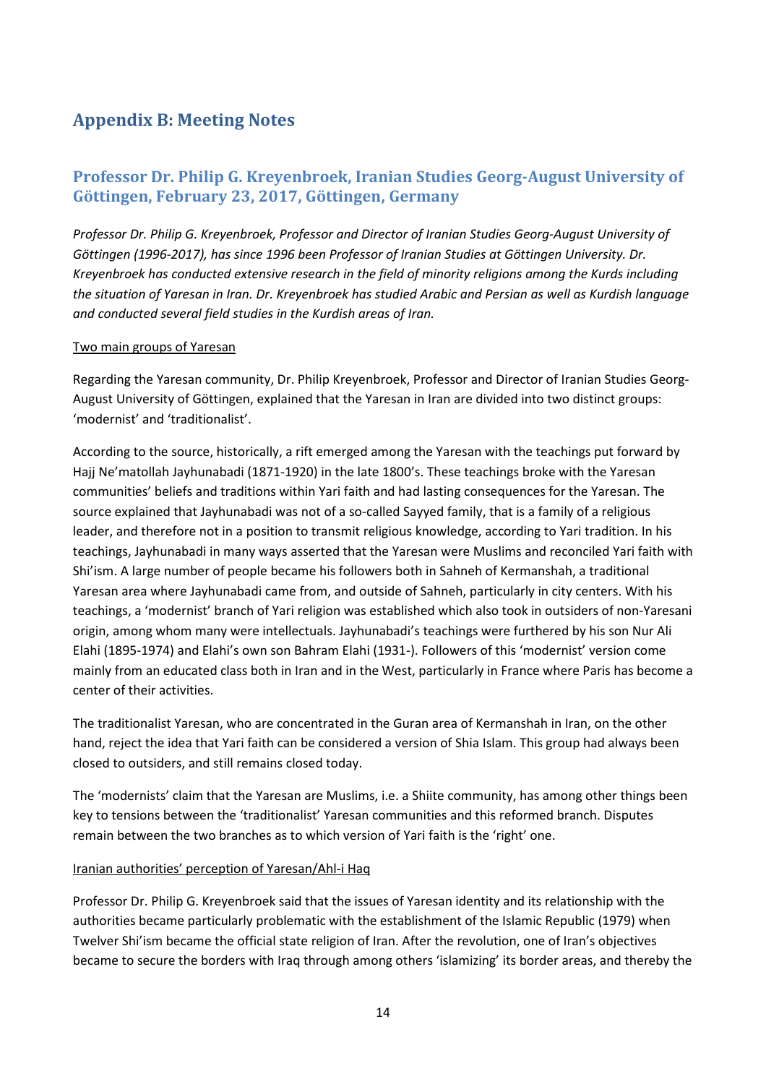# **Appendix B: Meeting Notes**

### **Professor Dr. Philip G. Kreyenbroek, Iranian Studies Georg-August University of Göttingen, February 23, 2017, Göttingen, Germany**

*Professor Dr. Philip G. Kreyenbroek, Professor and Director of Iranian Studies Georg-August University of Göttingen (1996-2017), has since 1996 been Professor of Iranian Studies at Göttingen University. Dr. Kreyenbroek has conducted extensive research in the field of minority religions among the Kurds including the situation of Yaresan in Iran. Dr. Kreyenbroek has studied Arabic and Persian as well as Kurdish language and conducted several field studies in the Kurdish areas of Iran.* 

#### Two main groups of Yaresan

Regarding the Yaresan community, Dr. Philip Kreyenbroek, Professor and Director of Iranian Studies Georg-August University of Göttingen, explained that the Yaresan in Iran are divided into two distinct groups: 'modernist' and 'traditionalist'.

According to the source, historically, a rift emerged among the Yaresan with the teachings put forward by Hajj Ne'matollah Jayhunabadi (1871-1920) in the late 1800's. These teachings broke with the Yaresan communities' beliefs and traditions within Yari faith and had lasting consequences for the Yaresan. The source explained that Jayhunabadi was not of a so-called Sayyed family, that is a family of a religious leader, and therefore not in a position to transmit religious knowledge, according to Yari tradition. In his teachings, Jayhunabadi in many ways asserted that the Yaresan were Muslims and reconciled Yari faith with Shi'ism. A large number of people became his followers both in Sahneh of Kermanshah, a traditional Yaresan area where Jayhunabadi came from, and outside of Sahneh, particularly in city centers. With his teachings, a 'modernist' branch of Yari religion was established which also took in outsiders of non-Yaresani origin, among whom many were intellectuals. Jayhunabadi's teachings were furthered by his son Nur Ali Elahi (1895-1974) and Elahi's own son Bahram Elahi (1931-). Followers of this 'modernist' version come mainly from an educated class both in Iran and in the West, particularly in France where Paris has become a center of their activities.

The traditionalist Yaresan, who are concentrated in the Guran area of Kermanshah in Iran, on the other hand, reject the idea that Yari faith can be considered a version of Shia Islam. This group had always been closed to outsiders, and still remains closed today.

The 'modernists' claim that the Yaresan are Muslims, i.e. a Shiite community, has among other things been key to tensions between the 'traditionalist' Yaresan communities and this reformed branch. Disputes remain between the two branches as to which version of Yari faith is the 'right' one.

#### Iranian authorities' perception of Yaresan/Ahl-i Haq

Professor Dr. Philip G. Kreyenbroek said that the issues of Yaresan identity and its relationship with the authorities became particularly problematic with the establishment of the Islamic Republic (1979) when Twelver Shi'ism became the official state religion of Iran. After the revolution, one of Iran's objectives became to secure the borders with Iraq through among others 'islamizing' its border areas, and thereby the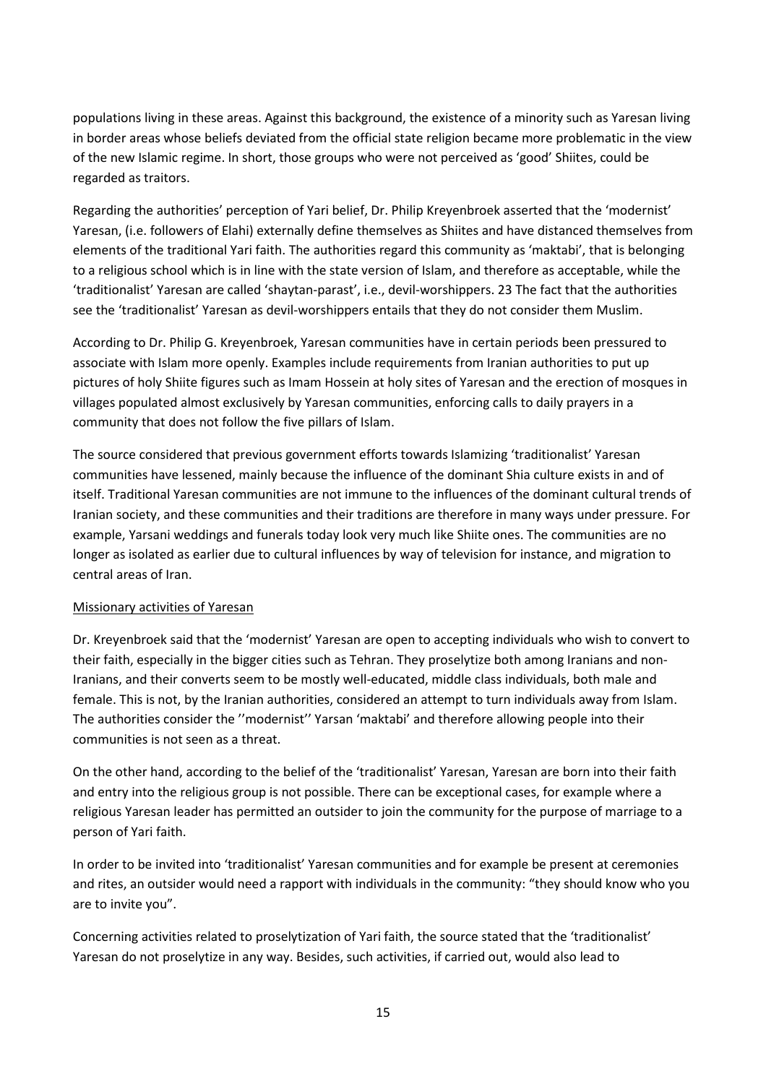populations living in these areas. Against this background, the existence of a minority such as Yaresan living in border areas whose beliefs deviated from the official state religion became more problematic in the view of the new Islamic regime. In short, those groups who were not perceived as 'good' Shiites, could be regarded as traitors.

Regarding the authorities' perception of Yari belief, Dr. Philip Kreyenbroek asserted that the 'modernist' Yaresan, (i.e. followers of Elahi) externally define themselves as Shiites and have distanced themselves from elements of the traditional Yari faith. The authorities regard this community as 'maktabi', that is belonging to a religious school which is in line with the state version of Islam, and therefore as acceptable, while the 'traditionalist' Yaresan are called 'shaytan-parast', i.e., devil-worshippers. 23 The fact that the authorities see the 'traditionalist' Yaresan as devil-worshippers entails that they do not consider them Muslim.

According to Dr. Philip G. Kreyenbroek, Yaresan communities have in certain periods been pressured to associate with Islam more openly. Examples include requirements from Iranian authorities to put up pictures of holy Shiite figures such as Imam Hossein at holy sites of Yaresan and the erection of mosques in villages populated almost exclusively by Yaresan communities, enforcing calls to daily prayers in a community that does not follow the five pillars of Islam.

The source considered that previous government efforts towards Islamizing 'traditionalist' Yaresan communities have lessened, mainly because the influence of the dominant Shia culture exists in and of itself. Traditional Yaresan communities are not immune to the influences of the dominant cultural trends of Iranian society, and these communities and their traditions are therefore in many ways under pressure. For example, Yarsani weddings and funerals today look very much like Shiite ones. The communities are no longer as isolated as earlier due to cultural influences by way of television for instance, and migration to central areas of Iran.

### Missionary activities of Yaresan

Dr. Kreyenbroek said that the 'modernist' Yaresan are open to accepting individuals who wish to convert to their faith, especially in the bigger cities such as Tehran. They proselytize both among Iranians and non-Iranians, and their converts seem to be mostly well-educated, middle class individuals, both male and female. This is not, by the Iranian authorities, considered an attempt to turn individuals away from Islam. The authorities consider the ''modernist'' Yarsan 'maktabi' and therefore allowing people into their communities is not seen as a threat.

On the other hand, according to the belief of the 'traditionalist' Yaresan, Yaresan are born into their faith and entry into the religious group is not possible. There can be exceptional cases, for example where a religious Yaresan leader has permitted an outsider to join the community for the purpose of marriage to a person of Yari faith.

In order to be invited into 'traditionalist' Yaresan communities and for example be present at ceremonies and rites, an outsider would need a rapport with individuals in the community: "they should know who you are to invite you".

Concerning activities related to proselytization of Yari faith, the source stated that the 'traditionalist' Yaresan do not proselytize in any way. Besides, such activities, if carried out, would also lead to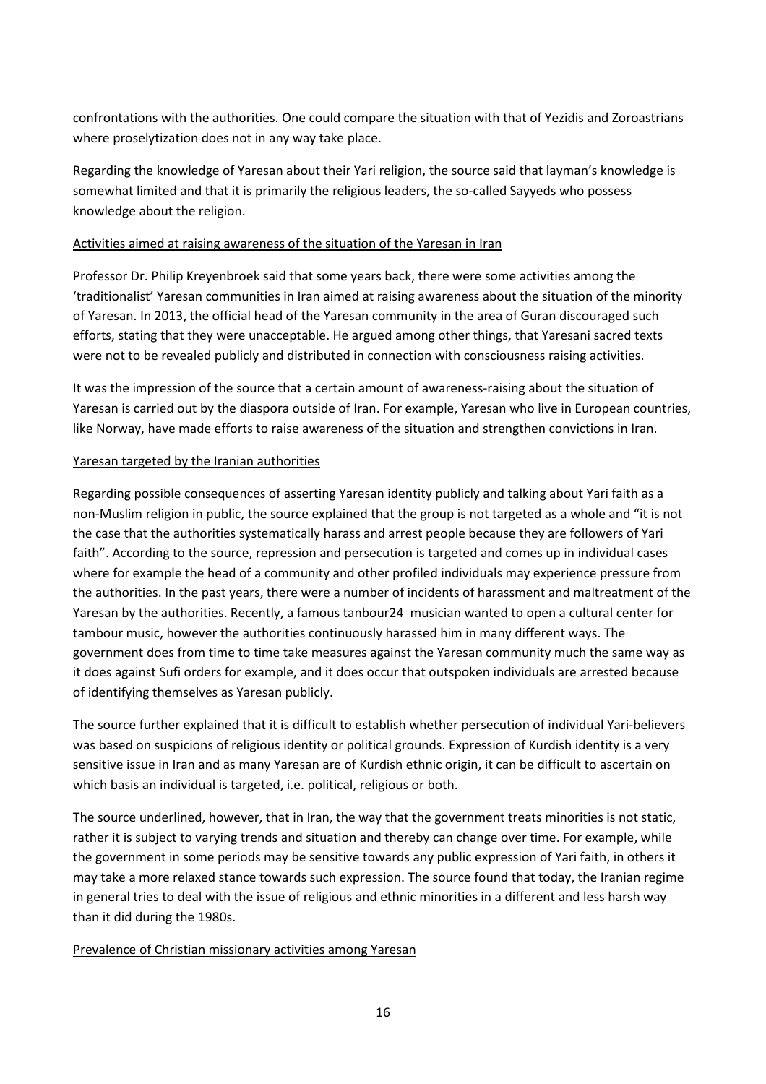confrontations with the authorities. One could compare the situation with that of Yezidis and Zoroastrians where proselytization does not in any way take place.

Regarding the knowledge of Yaresan about their Yari religion, the source said that layman's knowledge is somewhat limited and that it is primarily the religious leaders, the so-called Sayyeds who possess knowledge about the religion.

### Activities aimed at raising awareness of the situation of the Yaresan in Iran

Professor Dr. Philip Kreyenbroek said that some years back, there were some activities among the 'traditionalist' Yaresan communities in Iran aimed at raising awareness about the situation of the minority of Yaresan. In 2013, the official head of the Yaresan community in the area of Guran discouraged such efforts, stating that they were unacceptable. He argued among other things, that Yaresani sacred texts were not to be revealed publicly and distributed in connection with consciousness raising activities.

It was the impression of the source that a certain amount of awareness-raising about the situation of Yaresan is carried out by the diaspora outside of Iran. For example, Yaresan who live in European countries, like Norway, have made efforts to raise awareness of the situation and strengthen convictions in Iran.

### Yaresan targeted by the Iranian authorities

Regarding possible consequences of asserting Yaresan identity publicly and talking about Yari faith as a non-Muslim religion in public, the source explained that the group is not targeted as a whole and "it is not the case that the authorities systematically harass and arrest people because they are followers of Yari faith". According to the source, repression and persecution is targeted and comes up in individual cases where for example the head of a community and other profiled individuals may experience pressure from the authorities. In the past years, there were a number of incidents of harassment and maltreatment of the Yaresan by the authorities. Recently, a famous tanbour24 musician wanted to open a cultural center for tambour music, however the authorities continuously harassed him in many different ways. The government does from time to time take measures against the Yaresan community much the same way as it does against Sufi orders for example, and it does occur that outspoken individuals are arrested because of identifying themselves as Yaresan publicly.

The source further explained that it is difficult to establish whether persecution of individual Yari-believers was based on suspicions of religious identity or political grounds. Expression of Kurdish identity is a very sensitive issue in Iran and as many Yaresan are of Kurdish ethnic origin, it can be difficult to ascertain on which basis an individual is targeted, i.e. political, religious or both.

The source underlined, however, that in Iran, the way that the government treats minorities is not static, rather it is subject to varying trends and situation and thereby can change over time. For example, while the government in some periods may be sensitive towards any public expression of Yari faith, in others it may take a more relaxed stance towards such expression. The source found that today, the Iranian regime in general tries to deal with the issue of religious and ethnic minorities in a different and less harsh way than it did during the 1980s.

### Prevalence of Christian missionary activities among Yaresan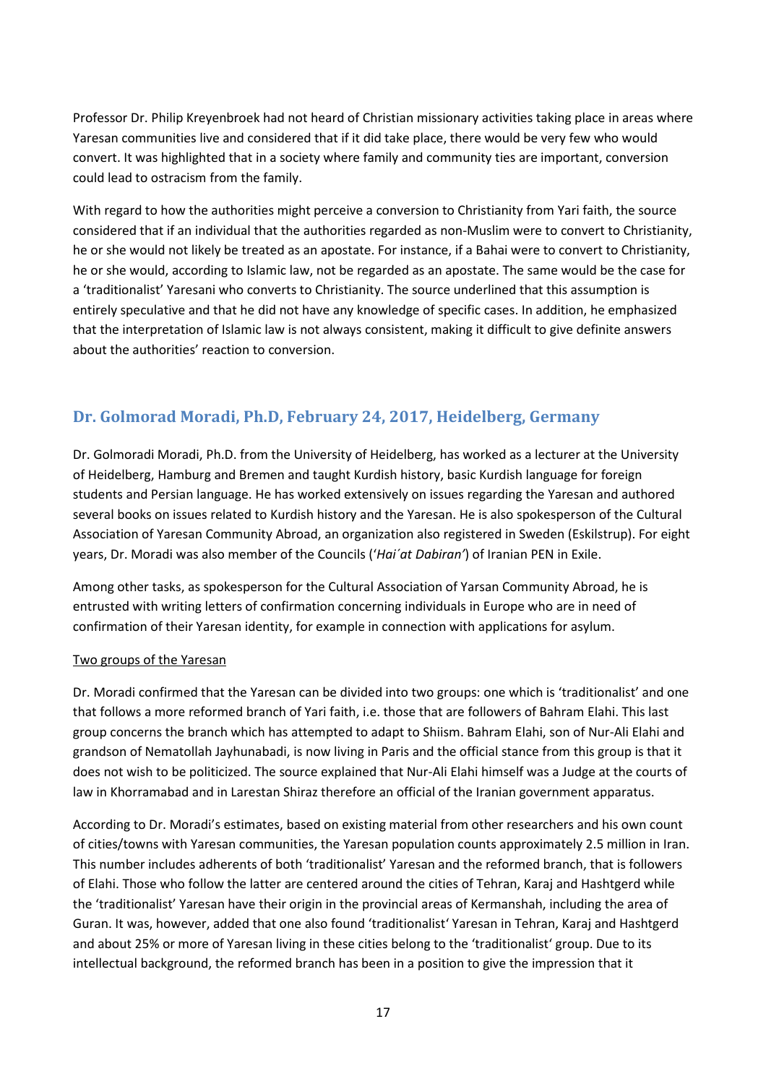Professor Dr. Philip Kreyenbroek had not heard of Christian missionary activities taking place in areas where Yaresan communities live and considered that if it did take place, there would be very few who would convert. It was highlighted that in a society where family and community ties are important, conversion could lead to ostracism from the family.

With regard to how the authorities might perceive a conversion to Christianity from Yari faith, the source considered that if an individual that the authorities regarded as non-Muslim were to convert to Christianity, he or she would not likely be treated as an apostate. For instance, if a Bahai were to convert to Christianity, he or she would, according to Islamic law, not be regarded as an apostate. The same would be the case for a 'traditionalist' Yaresani who converts to Christianity. The source underlined that this assumption is entirely speculative and that he did not have any knowledge of specific cases. In addition, he emphasized that the interpretation of Islamic law is not always consistent, making it difficult to give definite answers about the authorities' reaction to conversion.

# **Dr. Golmorad Moradi, Ph.D, February 24, 2017, Heidelberg, Germany**

Dr. Golmoradi Moradi, Ph.D. from the University of Heidelberg, has worked as a lecturer at the University of Heidelberg, Hamburg and Bremen and taught Kurdish history, basic Kurdish language for foreign students and Persian language. He has worked extensively on issues regarding the Yaresan and authored several books on issues related to Kurdish history and the Yaresan. He is also spokesperson of the Cultural Association of Yaresan Community Abroad, an organization also registered in Sweden (Eskilstrup). For eight years, Dr. Moradi was also member of the Councils ('*Hai´at Dabiran'*) of Iranian PEN in Exile.

Among other tasks, as spokesperson for the Cultural Association of Yarsan Community Abroad, he is entrusted with writing letters of confirmation concerning individuals in Europe who are in need of confirmation of their Yaresan identity, for example in connection with applications for asylum.

### Two groups of the Yaresan

Dr. Moradi confirmed that the Yaresan can be divided into two groups: one which is 'traditionalist' and one that follows a more reformed branch of Yari faith, i.e. those that are followers of Bahram Elahi. This last group concerns the branch which has attempted to adapt to Shiism. Bahram Elahi, son of Nur-Ali Elahi and grandson of Nematollah Jayhunabadi, is now living in Paris and the official stance from this group is that it does not wish to be politicized. The source explained that Nur-Ali Elahi himself was a Judge at the courts of law in Khorramabad and in Larestan Shiraz therefore an official of the Iranian government apparatus.

According to Dr. Moradi's estimates, based on existing material from other researchers and his own count of cities/towns with Yaresan communities, the Yaresan population counts approximately 2.5 million in Iran. This number includes adherents of both 'traditionalist' Yaresan and the reformed branch, that is followers of Elahi. Those who follow the latter are centered around the cities of Tehran, Karaj and Hashtgerd while the 'traditionalist' Yaresan have their origin in the provincial areas of Kermanshah, including the area of Guran. It was, however, added that one also found 'traditionalist' Yaresan in Tehran, Karaj and Hashtgerd and about 25% or more of Yaresan living in these cities belong to the 'traditionalist' group. Due to its intellectual background, the reformed branch has been in a position to give the impression that it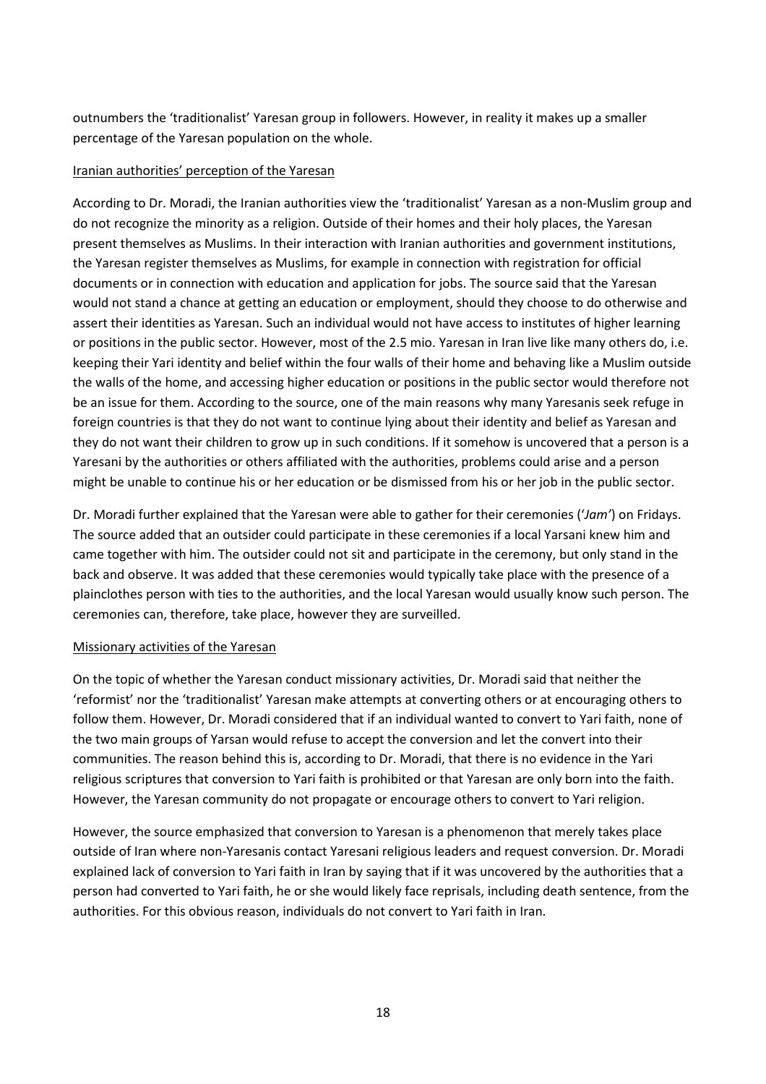outnumbers the 'traditionalist' Yaresan group in followers. However, in reality it makes up a smaller percentage of the Yaresan population on the whole.

#### Iranian authorities' perception of the Yaresan

According to Dr. Moradi, the Iranian authorities view the 'traditionalist' Yaresan as a non-Muslim group and do not recognize the minority as a religion. Outside of their homes and their holy places, the Yaresan present themselves as Muslims. In their interaction with Iranian authorities and government institutions, the Yaresan register themselves as Muslims, for example in connection with registration for official documents or in connection with education and application for jobs. The source said that the Yaresan would not stand a chance at getting an education or employment, should they choose to do otherwise and assert their identities as Yaresan. Such an individual would not have access to institutes of higher learning or positions in the public sector. However, most of the 2.5 mio. Yaresan in Iran live like many others do, i.e. keeping their Yari identity and belief within the four walls of their home and behaving like a Muslim outside the walls of the home, and accessing higher education or positions in the public sector would therefore not be an issue for them. According to the source, one of the main reasons why many Yaresanis seek refuge in foreign countries is that they do not want to continue lying about their identity and belief as Yaresan and they do not want their children to grow up in such conditions. If it somehow is uncovered that a person is a Yaresani by the authorities or others affiliated with the authorities, problems could arise and a person might be unable to continue his or her education or be dismissed from his or her job in the public sector.

Dr. Moradi further explained that the Yaresan were able to gather for their ceremonies ('*Jam'*) on Fridays. The source added that an outsider could participate in these ceremonies if a local Yarsani knew him and came together with him. The outsider could not sit and participate in the ceremony, but only stand in the back and observe. It was added that these ceremonies would typically take place with the presence of a plainclothes person with ties to the authorities, and the local Yaresan would usually know such person. The ceremonies can, therefore, take place, however they are surveilled.

#### Missionary activities of the Yaresan

On the topic of whether the Yaresan conduct missionary activities, Dr. Moradi said that neither the 'reformist' nor the 'traditionalist' Yaresan make attempts at converting others or at encouraging others to follow them. However, Dr. Moradi considered that if an individual wanted to convert to Yari faith, none of the two main groups of Yarsan would refuse to accept the conversion and let the convert into their communities. The reason behind this is, according to Dr. Moradi, that there is no evidence in the Yari religious scriptures that conversion to Yari faith is prohibited or that Yaresan are only born into the faith. However, the Yaresan community do not propagate or encourage others to convert to Yari religion.

However, the source emphasized that conversion to Yaresan is a phenomenon that merely takes place outside of Iran where non-Yaresanis contact Yaresani religious leaders and request conversion. Dr. Moradi explained lack of conversion to Yari faith in Iran by saying that if it was uncovered by the authorities that a person had converted to Yari faith, he or she would likely face reprisals, including death sentence, from the authorities. For this obvious reason, individuals do not convert to Yari faith in Iran.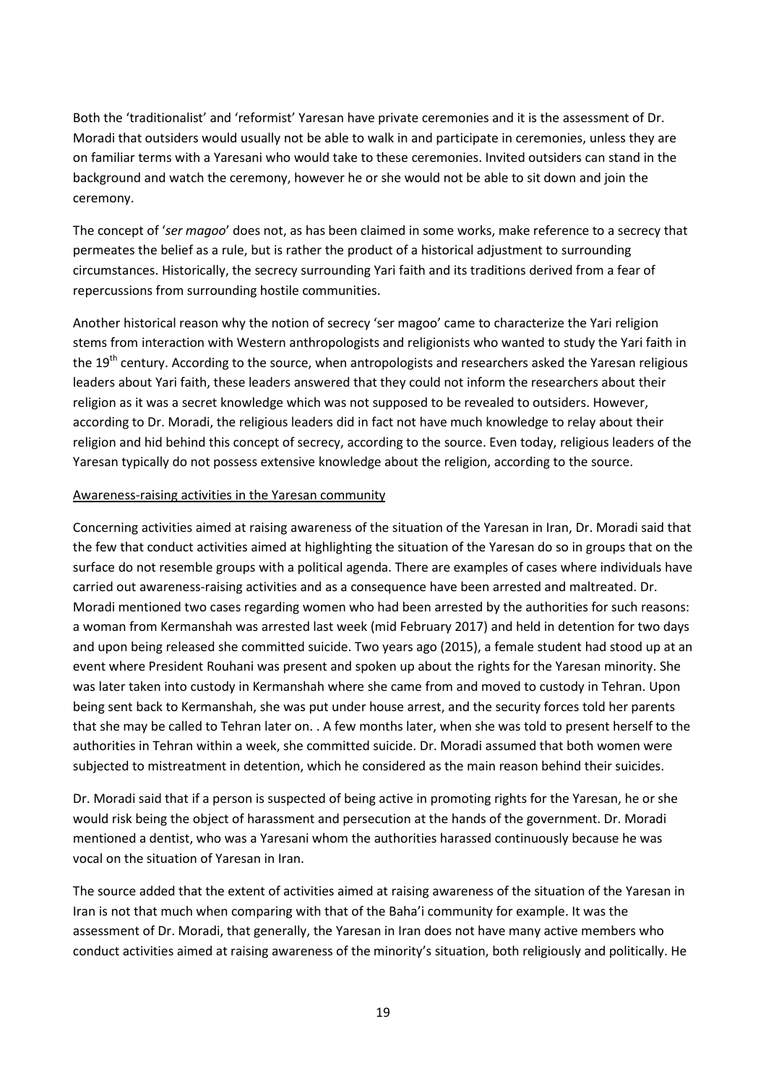Both the 'traditionalist' and 'reformist' Yaresan have private ceremonies and it is the assessment of Dr. Moradi that outsiders would usually not be able to walk in and participate in ceremonies, unless they are on familiar terms with a Yaresani who would take to these ceremonies. Invited outsiders can stand in the background and watch the ceremony, however he or she would not be able to sit down and join the ceremony.

The concept of '*ser magoo*' does not, as has been claimed in some works, make reference to a secrecy that permeates the belief as a rule, but is rather the product of a historical adjustment to surrounding circumstances. Historically, the secrecy surrounding Yari faith and its traditions derived from a fear of repercussions from surrounding hostile communities.

Another historical reason why the notion of secrecy 'ser magoo' came to characterize the Yari religion stems from interaction with Western anthropologists and religionists who wanted to study the Yari faith in the 19<sup>th</sup> century. According to the source, when antropologists and researchers asked the Yaresan religious leaders about Yari faith, these leaders answered that they could not inform the researchers about their religion as it was a secret knowledge which was not supposed to be revealed to outsiders. However, according to Dr. Moradi, the religious leaders did in fact not have much knowledge to relay about their religion and hid behind this concept of secrecy, according to the source. Even today, religious leaders of the Yaresan typically do not possess extensive knowledge about the religion, according to the source.

#### Awareness-raising activities in the Yaresan community

Concerning activities aimed at raising awareness of the situation of the Yaresan in Iran, Dr. Moradi said that the few that conduct activities aimed at highlighting the situation of the Yaresan do so in groups that on the surface do not resemble groups with a political agenda. There are examples of cases where individuals have carried out awareness-raising activities and as a consequence have been arrested and maltreated. Dr. Moradi mentioned two cases regarding women who had been arrested by the authorities for such reasons: a woman from Kermanshah was arrested last week (mid February 2017) and held in detention for two days and upon being released she committed suicide. Two years ago (2015), a female student had stood up at an event where President Rouhani was present and spoken up about the rights for the Yaresan minority. She was later taken into custody in Kermanshah where she came from and moved to custody in Tehran. Upon being sent back to Kermanshah, she was put under house arrest, and the security forces told her parents that she may be called to Tehran later on. . A few months later, when she was told to present herself to the authorities in Tehran within a week, she committed suicide. Dr. Moradi assumed that both women were subjected to mistreatment in detention, which he considered as the main reason behind their suicides.

Dr. Moradi said that if a person is suspected of being active in promoting rights for the Yaresan, he or she would risk being the object of harassment and persecution at the hands of the government. Dr. Moradi mentioned a dentist, who was a Yaresani whom the authorities harassed continuously because he was vocal on the situation of Yaresan in Iran.

The source added that the extent of activities aimed at raising awareness of the situation of the Yaresan in Iran is not that much when comparing with that of the Baha'i community for example. It was the assessment of Dr. Moradi, that generally, the Yaresan in Iran does not have many active members who conduct activities aimed at raising awareness of the minority's situation, both religiously and politically. He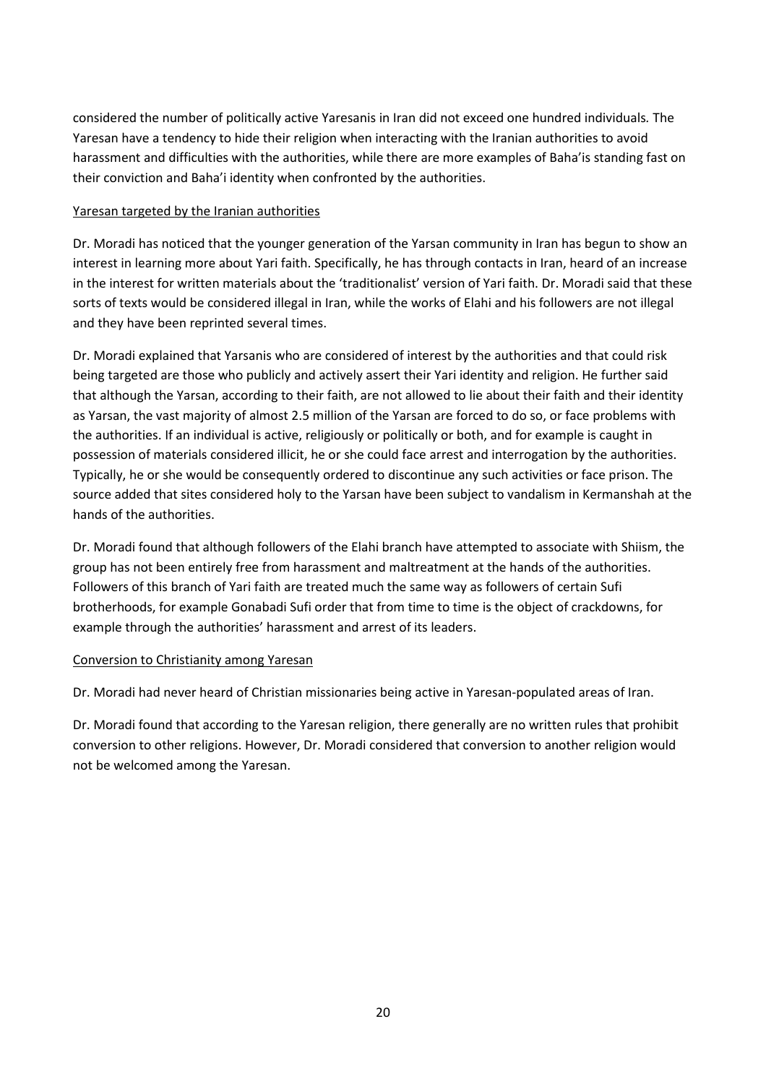considered the number of politically active Yaresanis in Iran did not exceed one hundred individuals*.* The Yaresan have a tendency to hide their religion when interacting with the Iranian authorities to avoid harassment and difficulties with the authorities, while there are more examples of Baha'is standing fast on their conviction and Baha'i identity when confronted by the authorities.

### Yaresan targeted by the Iranian authorities

Dr. Moradi has noticed that the younger generation of the Yarsan community in Iran has begun to show an interest in learning more about Yari faith. Specifically, he has through contacts in Iran, heard of an increase in the interest for written materials about the 'traditionalist' version of Yari faith. Dr. Moradi said that these sorts of texts would be considered illegal in Iran, while the works of Elahi and his followers are not illegal and they have been reprinted several times.

Dr. Moradi explained that Yarsanis who are considered of interest by the authorities and that could risk being targeted are those who publicly and actively assert their Yari identity and religion. He further said that although the Yarsan, according to their faith, are not allowed to lie about their faith and their identity as Yarsan, the vast majority of almost 2.5 million of the Yarsan are forced to do so, or face problems with the authorities. If an individual is active, religiously or politically or both, and for example is caught in possession of materials considered illicit, he or she could face arrest and interrogation by the authorities. Typically, he or she would be consequently ordered to discontinue any such activities or face prison. The source added that sites considered holy to the Yarsan have been subject to vandalism in Kermanshah at the hands of the authorities.

Dr. Moradi found that although followers of the Elahi branch have attempted to associate with Shiism, the group has not been entirely free from harassment and maltreatment at the hands of the authorities. Followers of this branch of Yari faith are treated much the same way as followers of certain Sufi brotherhoods, for example Gonabadi Sufi order that from time to time is the object of crackdowns, for example through the authorities' harassment and arrest of its leaders.

### Conversion to Christianity among Yaresan

Dr. Moradi had never heard of Christian missionaries being active in Yaresan-populated areas of Iran.

Dr. Moradi found that according to the Yaresan religion, there generally are no written rules that prohibit conversion to other religions. However, Dr. Moradi considered that conversion to another religion would not be welcomed among the Yaresan.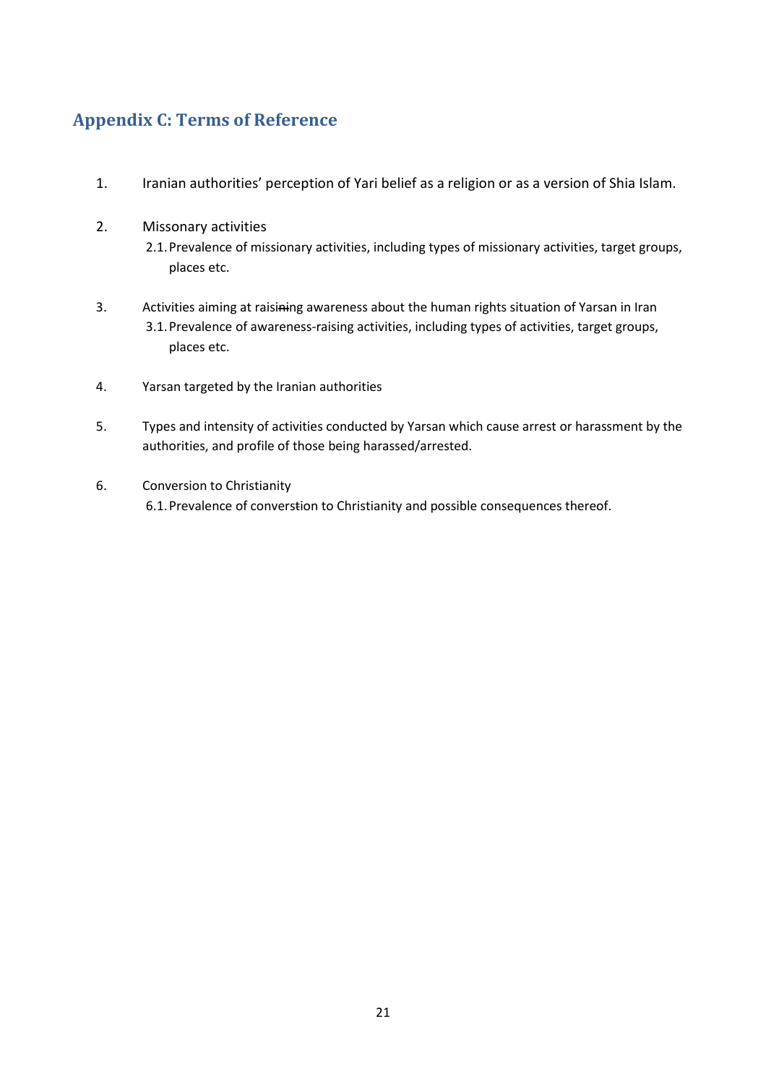# **Appendix C: Terms of Reference**

- 1. Iranian authorities' perception of Yari belief as a religion or as a version of Shia Islam.
- 2. Missonary activities 2.1.Prevalence of missionary activities, including types of missionary activities, target groups, places etc.
- 3. Activities aiming at raisining awareness about the human rights situation of Yarsan in Iran 3.1.Prevalence of awareness-raising activities, including types of activities, target groups, places etc.
- 4. Yarsan targeted by the Iranian authorities
- 5. Types and intensity of activities conducted by Yarsan which cause arrest or harassment by the authorities, and profile of those being harassed/arrested.
- 6. Conversion to Christianity 6.1.Prevalence of converstion to Christianity and possible consequences thereof.